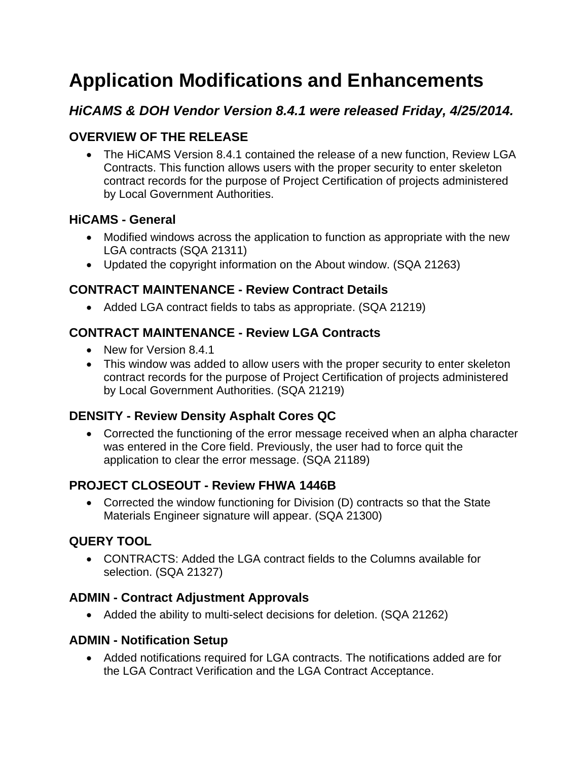# **Application Modifications and Enhancements**

## *HiCAMS & DOH Vendor Version 8.4.1 were released Friday, 4/25/2014.*

## **OVERVIEW OF THE RELEASE**

• The HiCAMS Version 8.4.1 contained the release of a new function, Review LGA Contracts. This function allows users with the proper security to enter skeleton contract records for the purpose of Project Certification of projects administered by Local Government Authorities.

## **HiCAMS - General**

- Modified windows across the application to function as appropriate with the new LGA contracts (SQA 21311)
- Updated the copyright information on the About window. (SQA 21263)

## **CONTRACT MAINTENANCE - Review Contract Details**

• Added LGA contract fields to tabs as appropriate. (SQA 21219)

## **CONTRACT MAINTENANCE - Review LGA Contracts**

- New for Version 8.4.1
- This window was added to allow users with the proper security to enter skeleton contract records for the purpose of Project Certification of projects administered by Local Government Authorities. (SQA 21219)

## **DENSITY - Review Density Asphalt Cores QC**

• Corrected the functioning of the error message received when an alpha character was entered in the Core field. Previously, the user had to force quit the application to clear the error message. (SQA 21189)

## **PROJECT CLOSEOUT - Review FHWA 1446B**

• Corrected the window functioning for Division (D) contracts so that the State Materials Engineer signature will appear. (SQA 21300)

## **QUERY TOOL**

• CONTRACTS: Added the LGA contract fields to the Columns available for selection. (SQA 21327)

## **ADMIN - Contract Adjustment Approvals**

• Added the ability to multi-select decisions for deletion. (SQA 21262)

#### **ADMIN - Notification Setup**

• Added notifications required for LGA contracts. The notifications added are for the LGA Contract Verification and the LGA Contract Acceptance.